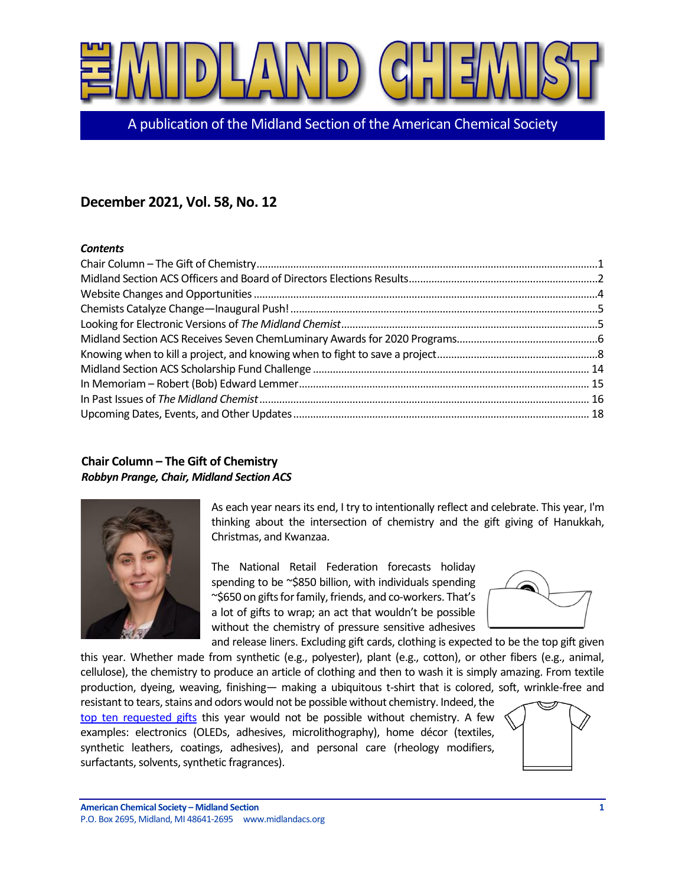

[A publication of the Midland Section of the American Chemical Society](https://midlandchemist.org)

# **December 2021, Vol. 58, No. 12**

#### *Contents*

# <span id="page-0-0"></span>**Chair Column – The Gift of Chemistry** *Robbyn Prange, Chair, Midland Section ACS*



As each year nears its end, I try to intentionally reflect and celebrate. This year, I'm thinking about the intersection of chemistry and the gift giving of Hanukkah, Christmas, and Kwanzaa.

The National Retail Federation forecasts holiday spending to be ~\$850 billion, with individuals spending ~\$650 on gifts for family, friends, and co-workers. That's a lot of gifts to wrap; an act that wouldn't be possible without the chemistry of pressure sensitive adhesives



and release liners. Excluding gift cards, clothing is expected to be the top gift given this year. Whether made from synthetic (e.g., polyester), plant (e.g., cotton), or other fibers (e.g., animal, cellulose), the chemistry to produce an article of clothing and then to wash it is simply amazing. From textile production, dyeing, weaving, finishing— making a ubiquitous t-shirt that is colored, soft, wrinkle-free and

resistant to tears, stains and odors would not be possible without chemistry. Indeed, the [top ten requested gifts](https://infogram.com/1pmjyq2qzv7jqpb397032wn603bzm7mjv3p) this year would not be possible without chemistry. A few examples: electronics (OLEDs, adhesives, microlithography), home décor (textiles, synthetic leathers, coatings, adhesives), and personal care (rheology modifiers, surfactants, solvents, synthetic fragrances).

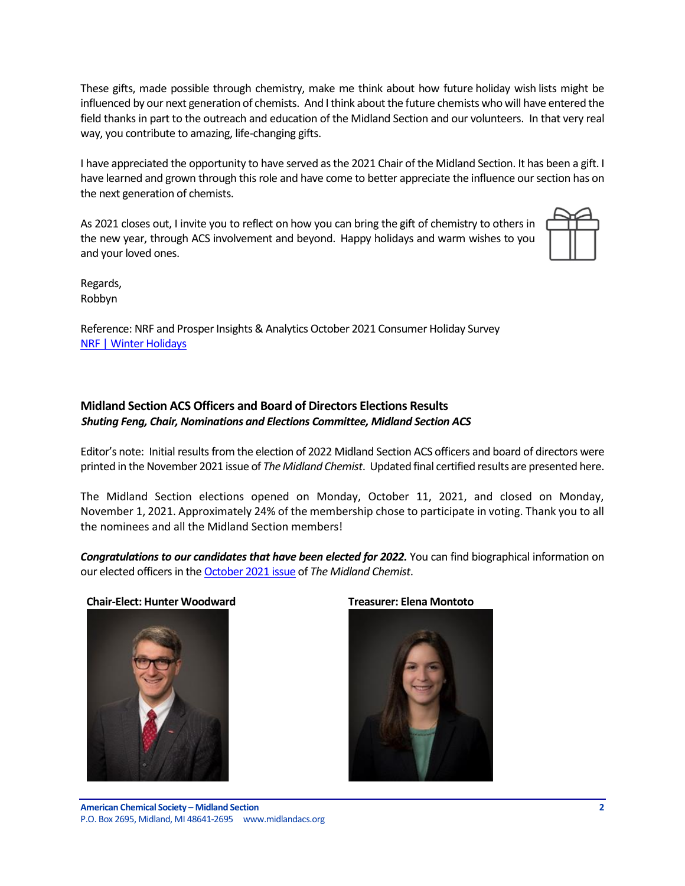These gifts, made possible through chemistry, make me think about how future holiday wish lists might be influenced by our next generation of chemists. And I think about the future chemists who will have entered the field thanks in part to the outreach and education of the Midland Section and our volunteers. In that very real way, you contribute to amazing, life-changing gifts.

I have appreciated the opportunity to have served as the 2021 Chair of the Midland Section. It has been a gift. I have learned and grown through this role and have come to better appreciate the influence our section has on the next generation of chemists.

As 2021 closes out, I invite you to reflect on how you can bring the gift of chemistry to others in the new year, through ACS involvement and beyond. Happy holidays and warm wishes to you and your loved ones.



Regards, Robbyn

Reference: NRF and Prosper Insights & Analytics October 2021 Consumer Holiday Survey [NRF | Winter Holidays](https://nrf.com/topics/holiday-and-seasonal-trends/winter-holidays)

#### <span id="page-1-0"></span>**Midland Section ACS Officers and Board of Directors Elections Results** *Shuting Feng, Chair, Nominations and Elections Committee, Midland Section ACS*

Editor's note: Initial results from the election of 2022 Midland Section ACS officers and board of directors were printed in the November 2021 issue of *The Midland Chemist*. Updated final certified results are presented here.

The Midland Section elections opened on Monday, October 11, 2021, and closed on Monday, November 1, 2021. Approximately 24% of the membership chose to participate in voting. Thank you to all the nominees and all the Midland Section members!

**Congratulations to our candidates that have been elected for 2022.** You can find biographical information on our elected officers in th[e October 2021 issue](https://midlandacs.org/download/the-midland-chemist-october-2021/) of *The Midland Chemist*.





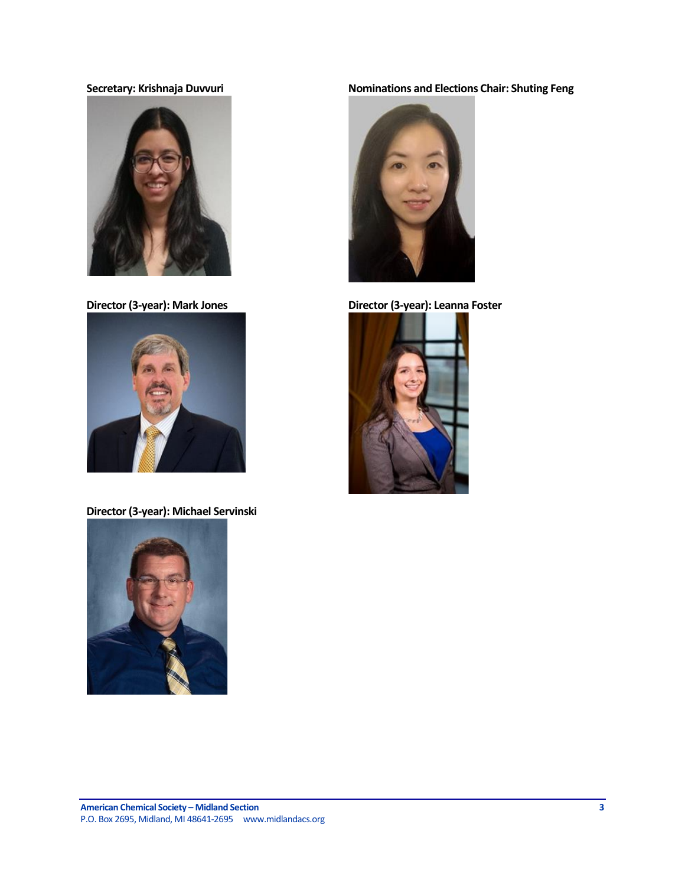



**Director (3-year): Michael Servinski**



# **Secretary: Krishnaja Duvvuri Nominations and Elections Chair: Shuting Feng**



**Director (3-year): Mark Jones Director (3-year): Leanna Foster**

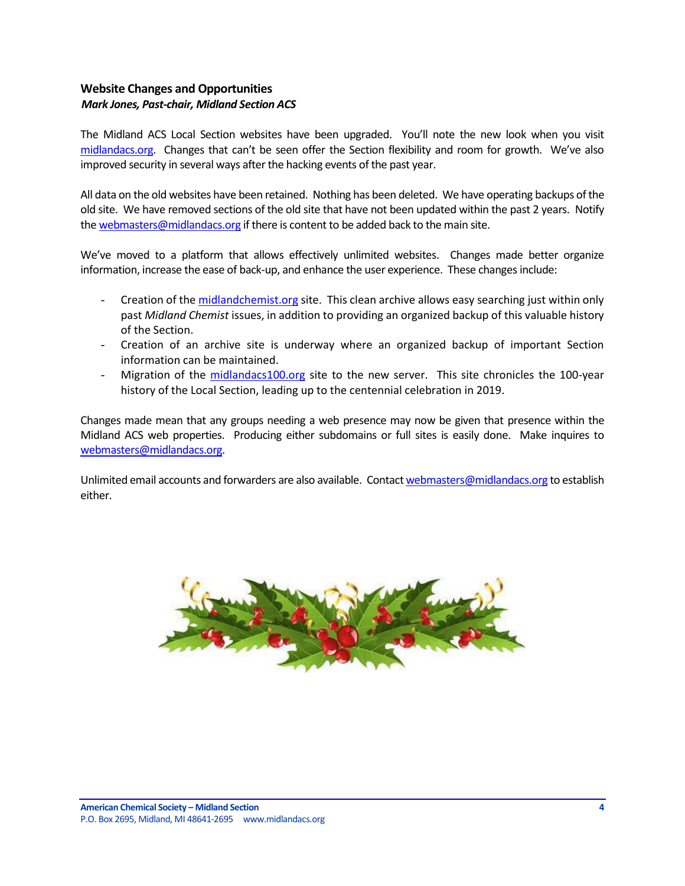## <span id="page-3-0"></span>**Website Changes and Opportunities** *Mark Jones, Past-chair, Midland Section ACS*

The Midland ACS Local Section websites have been upgraded. You'll note the new look when you visit [midlandacs.org](https://midlandacs.org/). Changes that can't be seen offer the Section flexibility and room for growth. We've also improved security in several ways after the hacking events of the past year.

All data on the old websites have been retained. Nothing has been deleted. We have operating backups of the old site. We have removed sections of the old site that have not been updated within the past 2 years. Notify th[e webmasters@midlandacs.org](mailto:webmasters@midlandacs.org) if there is content to be added back to the main site.

We've moved to a platform that allows effectively unlimited websites. Changes made better organize information, increase the ease of back-up, and enhance the user experience. These changes include:

- Creation of th[e midlandchemist.org](https://midlandchemist.org/) site. This clean archive allows easy searching just within only past *Midland Chemist* issues, in addition to providing an organized backup of this valuable history of the Section.
- Creation of an archive site is underway where an organized backup of important Section information can be maintained.
- Migration of the [midlandacs100.org](https://midlandacs100.org/) site to the new server. This site chronicles the 100-year history of the Local Section, leading up to the centennial celebration in 2019.

Changes made mean that any groups needing a web presence may now be given that presence within the Midland ACS web properties. Producing either subdomains or full sites is easily done. Make inquires to [webmasters@midlandacs.org.](mailto:webmasters@midlandacs.org)

Unlimited email accounts and forwarders are also available. Contac[t webmasters@midlandacs.org](mailto:webmasters@midlandacs.org) to establish either.

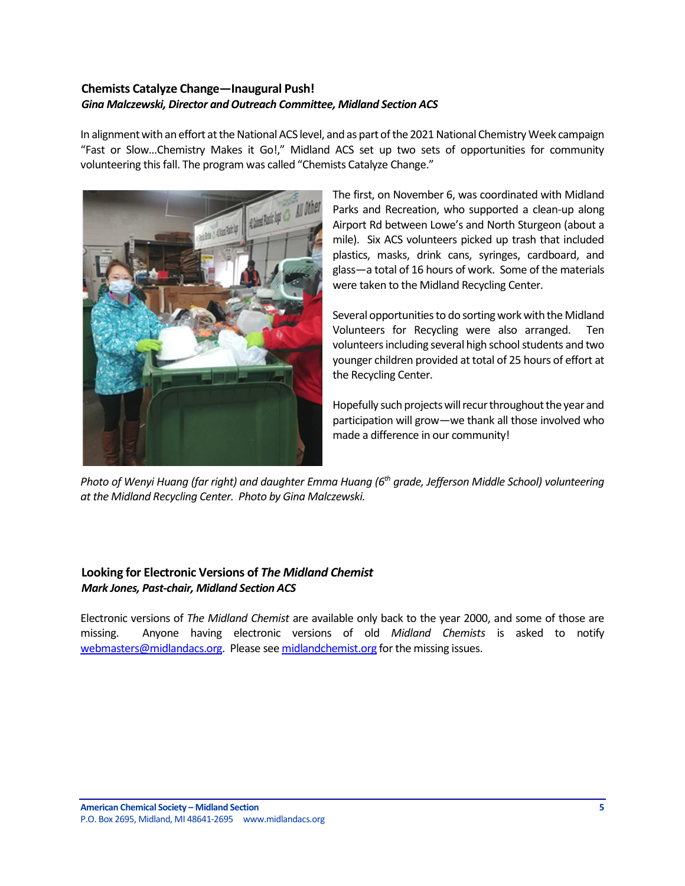## <span id="page-4-0"></span>**Chemists Catalyze Change—Inaugural Push!** *Gina Malczewski, Director and Outreach Committee, Midland Section ACS*

In alignment with an effort at the National ACS level, and as part of the 2021 National Chemistry Week campaign "Fast or Slow…Chemistry Makes it Go!," Midland ACS set up two sets of opportunities for community volunteering this fall. The program was called "Chemists Catalyze Change."



The first, on November 6, was coordinated with Midland Parks and Recreation, who supported a clean-up along Airport Rd between Lowe's and North Sturgeon (about a mile). Six ACS volunteers picked up trash that included plastics, masks, drink cans, syringes, cardboard, and glass—a total of 16 hours of work. Some of the materials were taken to the Midland Recycling Center.

Several opportunities to do sorting work with the Midland Volunteers for Recycling were also arranged. Ten volunteers including several high school students and two younger children provided at total of 25 hours of effort at the Recycling Center.

Hopefully such projects will recur throughout the year and participation will grow—we thank all those involved who made a difference in our community!

*Photo of Wenyi Huang (far right) and daughter Emma Huang (6th grade, Jefferson Middle School) volunteering at the Midland Recycling Center. Photo by Gina Malczewski.*

# <span id="page-4-1"></span>**Looking for Electronic Versions of** *The Midland Chemist Mark Jones, Past-chair, Midland Section ACS*

Electronic versions of *The Midland Chemist* are available only back to the year 2000, and some of those are missing. Anyone having electronic versions of old *Midland Chemists* is asked to notify [webmasters@midlandacs.org.](mailto:webmasters@midlandacs.org) Please se[e midlandchemist.org](https://midlandchemist.org/) for the missing issues.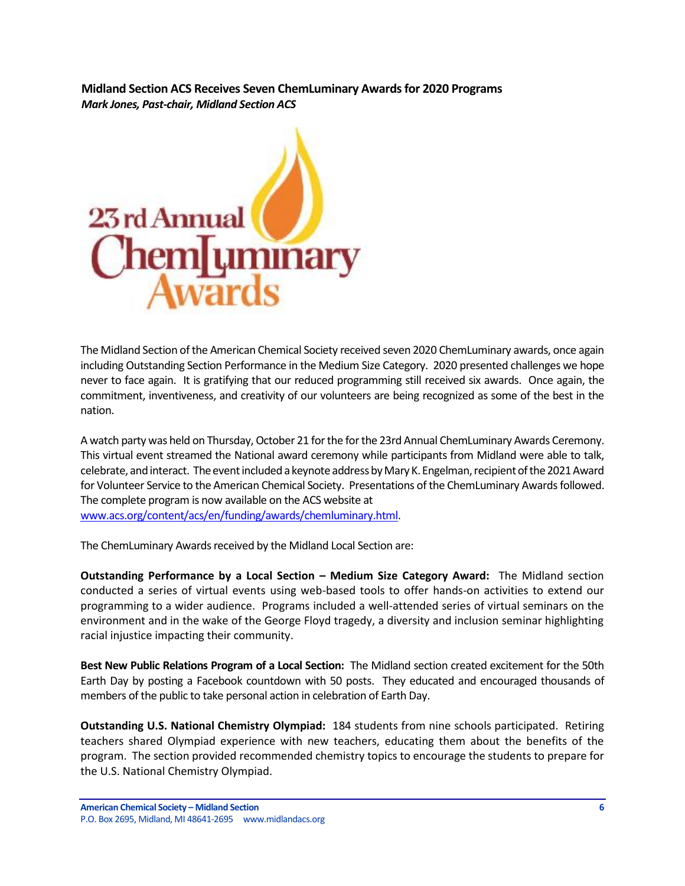<span id="page-5-0"></span>**Midland Section ACS Receives Seven ChemLuminary Awards for 2020 Programs**  *Mark Jones, Past-chair, Midland Section ACS*



The Midland Section of the American Chemical Society received seven 2020 ChemLuminary awards, once again including Outstanding Section Performance in the Medium Size Category. 2020 presented challenges we hope never to face again. It is gratifying that our reduced programming still received six awards. Once again, the commitment, inventiveness, and creativity of our volunteers are being recognized as some of the best in the nation.

A watch party was held on Thursday, October 21 for the for the 23rd Annual ChemLuminary Awards Ceremony. This virtual event streamed the National award ceremony while participants from Midland were able to talk, celebrate, and interact. The event included a keynote address by Mary K. Engelman, recipient of the 2021 Award for Volunteer Service to the American Chemical Society. Presentations of the ChemLuminary Awards followed. The complete program is now available on the ACS website at [www.acs.org/content/acs/en/funding/awards/chemluminary.html.](https://www.acs.org/content/acs/en/funding/awards/chemluminary.html)

The ChemLuminary Awards received by the Midland Local Section are:

**Outstanding Performance by a Local Section – Medium Size Category Award:** The Midland section conducted a series of virtual events using web-based tools to offer hands-on activities to extend our programming to a wider audience. Programs included a well-attended series of virtual seminars on the environment and in the wake of the George Floyd tragedy, a diversity and inclusion seminar highlighting racial injustice impacting their community.

**Best New Public Relations Program of a Local Section:** The Midland section created excitement for the 50th Earth Day by posting a Facebook countdown with 50 posts. They educated and encouraged thousands of members of the public to take personal action in celebration of Earth Day.

**Outstanding U.S. National Chemistry Olympiad:** 184 students from nine schools participated. Retiring teachers shared Olympiad experience with new teachers, educating them about the benefits of the program. The section provided recommended chemistry topics to encourage the students to prepare for the U.S. National Chemistry Olympiad.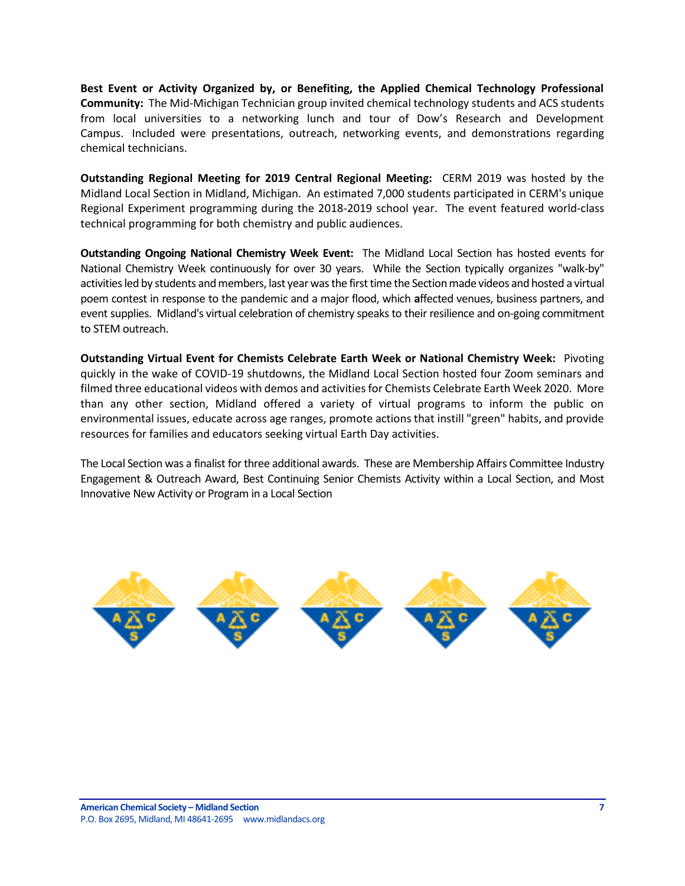**Best Event or Activity Organized by, or Benefiting, the Applied Chemical Technology Professional Community:** The Mid-Michigan Technician group invited chemical technology students and ACS students from local universities to a networking lunch and tour of Dow's Research and Development Campus. Included were presentations, outreach, networking events, and demonstrations regarding chemical technicians.

**Outstanding Regional Meeting for 2019 Central Regional Meeting:** CERM 2019 was hosted by the Midland Local Section in Midland, Michigan. An estimated 7,000 students participated in CERM's unique Regional Experiment programming during the 2018-2019 school year. The event featured world-class technical programming for both chemistry and public audiences.

**Outstanding Ongoing National Chemistry Week Event:** The Midland Local Section has hosted events for National Chemistry Week continuously for over 30 years. While the Section typically organizes "walk-by" activities led by students and members, last year was the first time the Section made videos and hosted a virtual poem contest in response to the pandemic and a major flood, which **a**ffected venues, business partners, and event supplies. Midland's virtual celebration of chemistry speaks to their resilience and on-going commitment to STEM outreach.

**Outstanding Virtual Event for Chemists Celebrate Earth Week or National Chemistry Week:** Pivoting quickly in the wake of COVID-19 shutdowns, the Midland Local Section hosted four Zoom seminars and filmed three educational videos with demos and activities for Chemists Celebrate Earth Week 2020. More than any other section, Midland offered a variety of virtual programs to inform the public on environmental issues, educate across age ranges, promote actions that instill "green" habits, and provide resources for families and educators seeking virtual Earth Day activities.

The Local Section was a finalist for three additional awards. These are Membership Affairs Committee Industry Engagement & Outreach Award, Best Continuing Senior Chemists Activity within a Local Section, and Most Innovative New Activity or Program in a Local Section

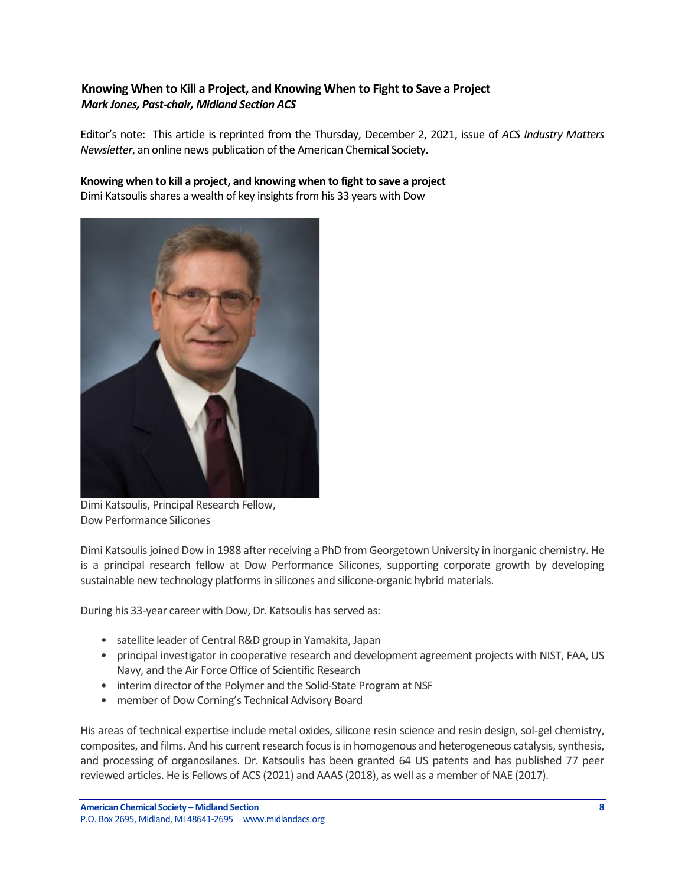# <span id="page-7-0"></span>**Knowing When to Kill a Project, and Knowing When to Fight to Save a Project** *Mark Jones, Past-chair, Midland Section ACS*

Editor's note: This article is reprinted from the Thursday, December 2, 2021, issue of *ACS Industry Matters Newsletter*, an online news publication of the American Chemical Society.

**Knowing when to kill a project, and knowing when to fight to save a project** Dimi Katsoulis shares a wealth of key insights from his 33 years with Dow



Dimi Katsoulis, Principal Research Fellow, Dow Performance Silicones

Dimi Katsoulis joined Dow in 1988 after receiving a PhD from Georgetown University in inorganic chemistry. He is a principal research fellow at Dow Performance Silicones, supporting corporate growth by developing sustainable new technology platforms in silicones and silicone-organic hybrid materials.

During his 33-year career with Dow, Dr. Katsoulis has served as:

- satellite leader of Central R&D group in Yamakita, Japan
- principal investigator in cooperative research and development agreement projects with NIST, FAA, US Navy, and the Air Force Office of Scientific Research
- interim director of the Polymer and the Solid-State Program at NSF
- member of Dow Corning's Technical Advisory Board

His areas of technical expertise include metal oxides, silicone resin science and resin design, sol-gel chemistry, composites, and films. And his current research focus is in homogenous and heterogeneous catalysis, synthesis, and processing of organosilanes. Dr. Katsoulis has been granted 64 US patents and has published 77 peer reviewed articles. He is Fellows of ACS (2021) and AAAS (2018), as well as a member of NAE (2017).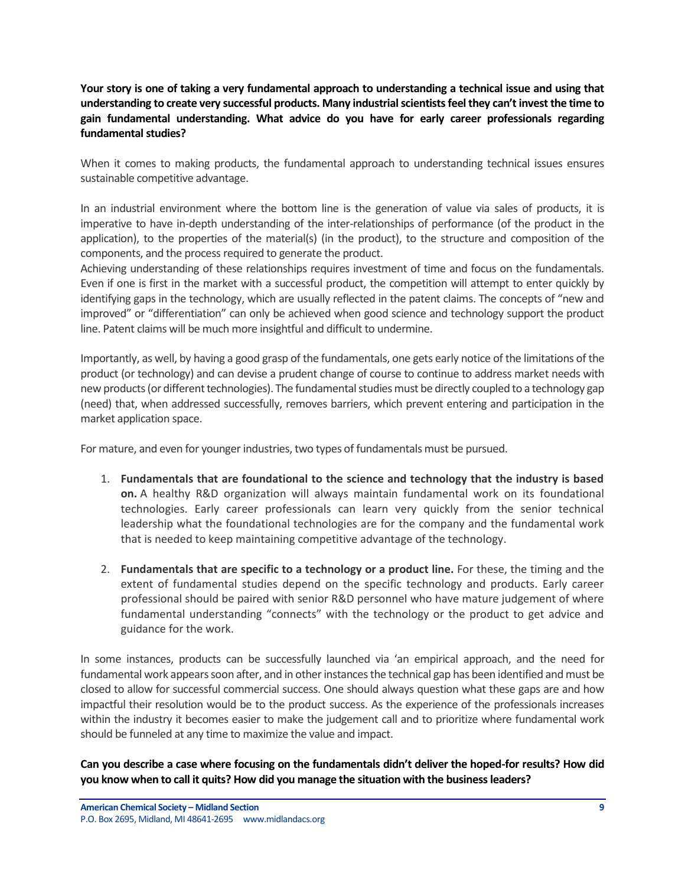**Your story is one of taking a very fundamental approach to understanding a technical issue and using that understanding to create very successful products. Many industrial scientists feel they can't invest the time to gain fundamental understanding. What advice do you have for early career professionals regarding fundamental studies?** 

When it comes to making products, the fundamental approach to understanding technical issues ensures sustainable competitive advantage.

In an industrial environment where the bottom line is the generation of value via sales of products, it is imperative to have in-depth understanding of the inter-relationships of performance (of the product in the application), to the properties of the material(s) (in the product), to the structure and composition of the components, and the process required to generate the product.

Achieving understanding of these relationships requires investment of time and focus on the fundamentals. Even if one is first in the market with a successful product, the competition will attempt to enter quickly by identifying gaps in the technology, which are usually reflected in the patent claims. The concepts of "new and improved" or "differentiation" can only be achieved when good science and technology support the product line. Patent claims will be much more insightful and difficult to undermine.

Importantly, as well, by having a good grasp of the fundamentals, one gets early notice of the limitations of the product (or technology) and can devise a prudent change of course to continue to address market needs with new products (or different technologies). The fundamental studies must be directly coupled to a technology gap (need) that, when addressed successfully, removes barriers, which prevent entering and participation in the market application space.

For mature, and even for younger industries, two types of fundamentals must be pursued.

- 1. **Fundamentals that are foundational to the science and technology that the industry is based on.** A healthy R&D organization will always maintain fundamental work on its foundational technologies. Early career professionals can learn very quickly from the senior technical leadership what the foundational technologies are for the company and the fundamental work that is needed to keep maintaining competitive advantage of the technology.
- 2. **Fundamentals that are specific to a technology or a product line.** For these, the timing and the extent of fundamental studies depend on the specific technology and products. Early career professional should be paired with senior R&D personnel who have mature judgement of where fundamental understanding "connects" with the technology or the product to get advice and guidance for the work.

In some instances, products can be successfully launched via 'an empirical approach, and the need for fundamental work appears soon after, and in other instances the technical gap has been identified and must be closed to allow for successful commercial success. One should always question what these gaps are and how impactful their resolution would be to the product success. As the experience of the professionals increases within the industry it becomes easier to make the judgement call and to prioritize where fundamental work should be funneled at any time to maximize the value and impact.

**Can you describe a case where focusing on the fundamentals didn't deliver the hoped-for results? How did you know when to call it quits? How did you manage the situation with the business leaders?**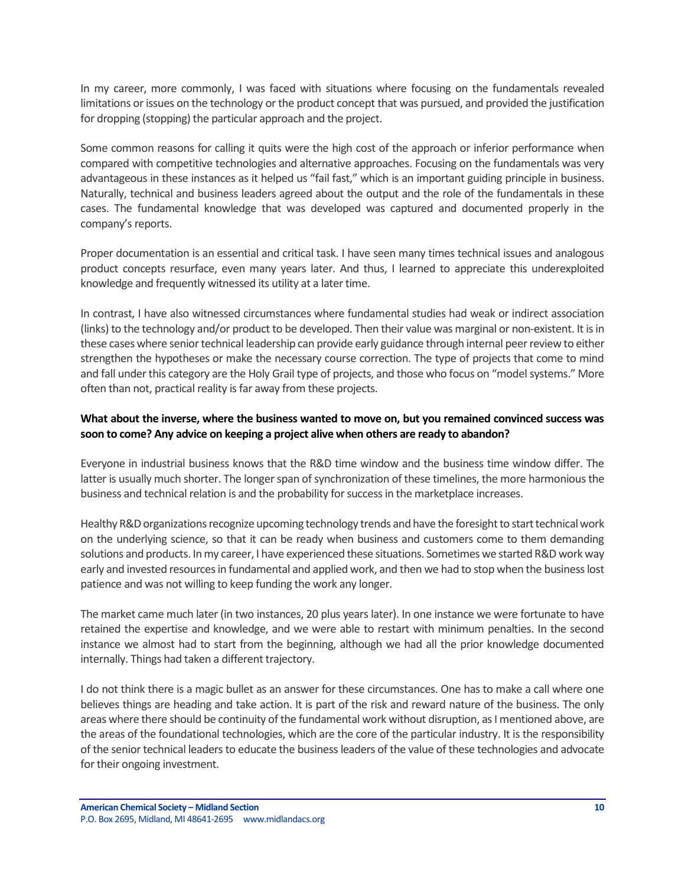In my career, more commonly, I was faced with situations where focusing on the fundamentals revealed limitations or issues on the technology or the product concept that was pursued, and provided the justification for dropping (stopping) the particular approach and the project.

Some common reasons for calling it quits were the high cost of the approach or inferior performance when compared with competitive technologies and alternative approaches. Focusing on the fundamentals was very advantageous in these instances as it helped us "fail fast," which is an important guiding principle in business. Naturally, technical and business leaders agreed about the output and the role of the fundamentals in these cases. The fundamental knowledge that was developed was captured and documented properly in the company's reports.

Proper documentation is an essential and critical task. I have seen many times technical issues and analogous product concepts resurface, even many years later. And thus, I learned to appreciate this underexploited knowledge and frequently witnessed its utility at a later time.

In contrast, I have also witnessed circumstances where fundamental studies had weak or indirect association (links) to the technology and/or product to be developed. Then their value was marginal or non-existent. It is in these cases where senior technical leadership can provide early guidance through internal peer review to either strengthen the hypotheses or make the necessary course correction. The type of projects that come to mind and fall under this category are the Holy Grail type of projects, and those who focus on "model systems." More often than not, practical reality is far away from these projects.

### **What about the inverse, where the business wanted to move on, but you remained convinced success was soon to come? Any advice on keeping a project alive when others are ready to abandon?**

Everyone in industrial business knows that the R&D time window and the business time window differ. The latter is usually much shorter. The longer span of synchronization of these timelines, the more harmonious the business and technical relation is and the probability for success in the marketplace increases.

Healthy R&D organizations recognize upcoming technology trends and have the foresight to start technical work on the underlying science, so that it can be ready when business and customers come to them demanding solutions and products. In my career, I have experienced these situations. Sometimes we started R&D work way early and invested resources in fundamental and applied work, and then we had to stop when the business lost patience and was not willing to keep funding the work any longer.

The market came much later (in two instances, 20 plus years later). In one instance we were fortunate to have retained the expertise and knowledge, and we were able to restart with minimum penalties. In the second instance we almost had to start from the beginning, although we had all the prior knowledge documented internally. Things had taken a different trajectory.

I do not think there is a magic bullet as an answer for these circumstances. One has to make a call where one believes things are heading and take action. It is part of the risk and reward nature of the business. The only areas where there should be continuity of the fundamental work without disruption, as I mentioned above, are the areas of the foundational technologies, which are the core of the particular industry. It is the responsibility of the senior technical leaders to educate the business leaders of the value of these technologies and advocate for their ongoing investment.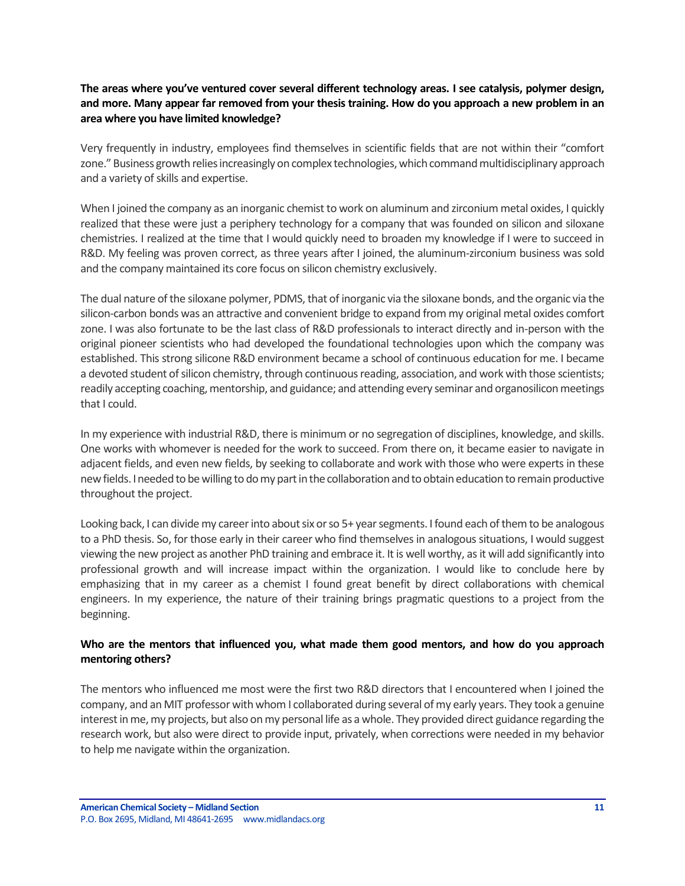**The areas where you've ventured cover several different technology areas. I see catalysis, polymer design, and more. Many appear far removed from your thesis training. How do you approach a new problem in an area where you have limited knowledge?**

Very frequently in industry, employees find themselves in scientific fields that are not within their "comfort zone." Business growth relies increasingly on complex technologies, which command multidisciplinary approach and a variety of skills and expertise.

When I joined the company as an inorganic chemist to work on aluminum and zirconium metal oxides, I quickly realized that these were just a periphery technology for a company that was founded on silicon and siloxane chemistries. I realized at the time that I would quickly need to broaden my knowledge if I were to succeed in R&D. My feeling was proven correct, as three years after I joined, the aluminum-zirconium business was sold and the company maintained its core focus on silicon chemistry exclusively.

The dual nature of the siloxane polymer, PDMS, that of inorganic via the siloxane bonds, and the organic via the silicon-carbon bonds was an attractive and convenient bridge to expand from my original metal oxides comfort zone. I was also fortunate to be the last class of R&D professionals to interact directly and in-person with the original pioneer scientists who had developed the foundational technologies upon which the company was established. This strong silicone R&D environment became a school of continuous education for me. I became a devoted student of silicon chemistry, through continuous reading, association, and work with those scientists; readily accepting coaching, mentorship, and guidance; and attending every seminar and organosilicon meetings that I could.

In my experience with industrial R&D, there is minimum or no segregation of disciplines, knowledge, and skills. One works with whomever is needed for the work to succeed. From there on, it became easier to navigate in adjacent fields, and even new fields, by seeking to collaborate and work with those who were experts in these new fields. I needed to be willing to do my part in the collaboration and to obtain education to remain productive throughout the project.

Looking back, I can divide my career into about six or so 5+ year segments. I found each of them to be analogous to a PhD thesis. So, for those early in their career who find themselves in analogous situations, I would suggest viewing the new project as another PhD training and embrace it. It is well worthy, as it will add significantly into professional growth and will increase impact within the organization. I would like to conclude here by emphasizing that in my career as a chemist I found great benefit by direct collaborations with chemical engineers. In my experience, the nature of their training brings pragmatic questions to a project from the beginning.

## **Who are the mentors that influenced you, what made them good mentors, and how do you approach mentoring others?**

The mentors who influenced me most were the first two R&D directors that I encountered when I joined the company, and an MIT professor with whom I collaborated during several of my early years. They took a genuine interest in me, my projects, but also on my personal life as a whole. They provided direct guidance regarding the research work, but also were direct to provide input, privately, when corrections were needed in my behavior to help me navigate within the organization.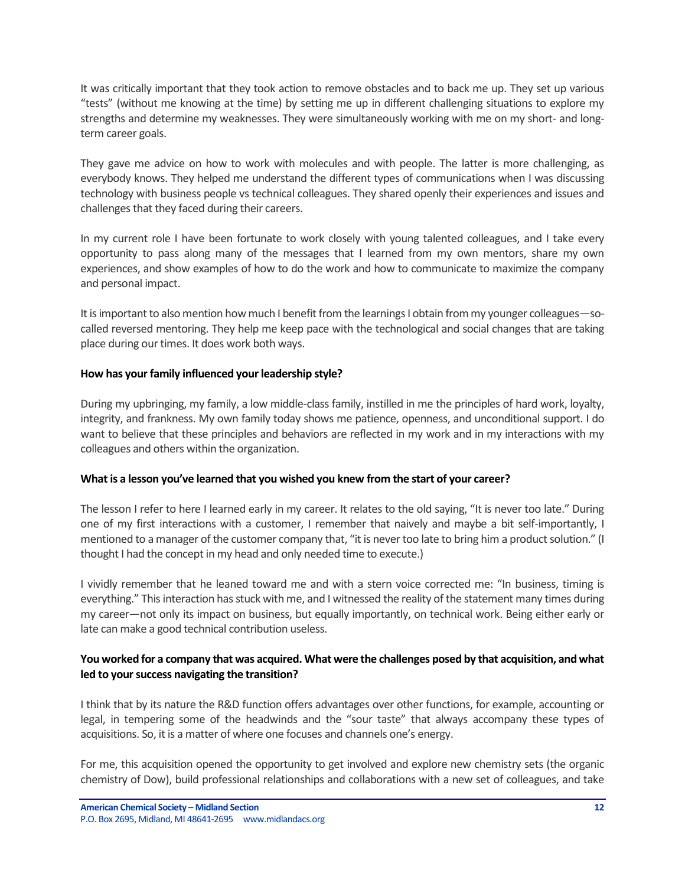It was critically important that they took action to remove obstacles and to back me up. They set up various "tests" (without me knowing at the time) by setting me up in different challenging situations to explore my strengths and determine my weaknesses. They were simultaneously working with me on my short- and longterm career goals.

They gave me advice on how to work with molecules and with people. The latter is more challenging, as everybody knows. They helped me understand the different types of communications when I was discussing technology with business people vs technical colleagues. They shared openly their experiences and issues and challenges that they faced during their careers.

In my current role I have been fortunate to work closely with young talented colleagues, and I take every opportunity to pass along many of the messages that I learned from my own mentors, share my own experiences, and show examples of how to do the work and how to communicate to maximize the company and personal impact.

It is important to also mention how much I benefit from the learnings I obtain from my younger colleagues—socalled reversed mentoring. They help me keep pace with the technological and social changes that are taking place during our times. It does work both ways.

#### **How has your family influenced your leadership style?**

During my upbringing, my family, a low middle-class family, instilled in me the principles of hard work, loyalty, integrity, and frankness. My own family today shows me patience, openness, and unconditional support. I do want to believe that these principles and behaviors are reflected in my work and in my interactions with my colleagues and others within the organization.

#### **What is a lesson you've learned that you wished you knew from the start of your career?**

The lesson I refer to here I learned early in my career. It relates to the old saying, "It is never too late." During one of my first interactions with a customer, I remember that naively and maybe a bit self-importantly, I mentioned to a manager of the customer company that, "it is never too late to bring him a product solution." (I thought I had the concept in my head and only needed time to execute.)

I vividly remember that he leaned toward me and with a stern voice corrected me: "In business, timing is everything." This interaction has stuck with me, and I witnessed the reality of the statement many times during my career—not only its impact on business, but equally importantly, on technical work. Being either early or late can make a good technical contribution useless.

#### **You worked for a company that was acquired. What were the challenges posed by that acquisition, and what led to your success navigating the transition?**

I think that by its nature the R&D function offers advantages over other functions, for example, accounting or legal, in tempering some of the headwinds and the "sour taste" that always accompany these types of acquisitions. So, it is a matter of where one focuses and channels one's energy.

For me, this acquisition opened the opportunity to get involved and explore new chemistry sets (the organic chemistry of Dow), build professional relationships and collaborations with a new set of colleagues, and take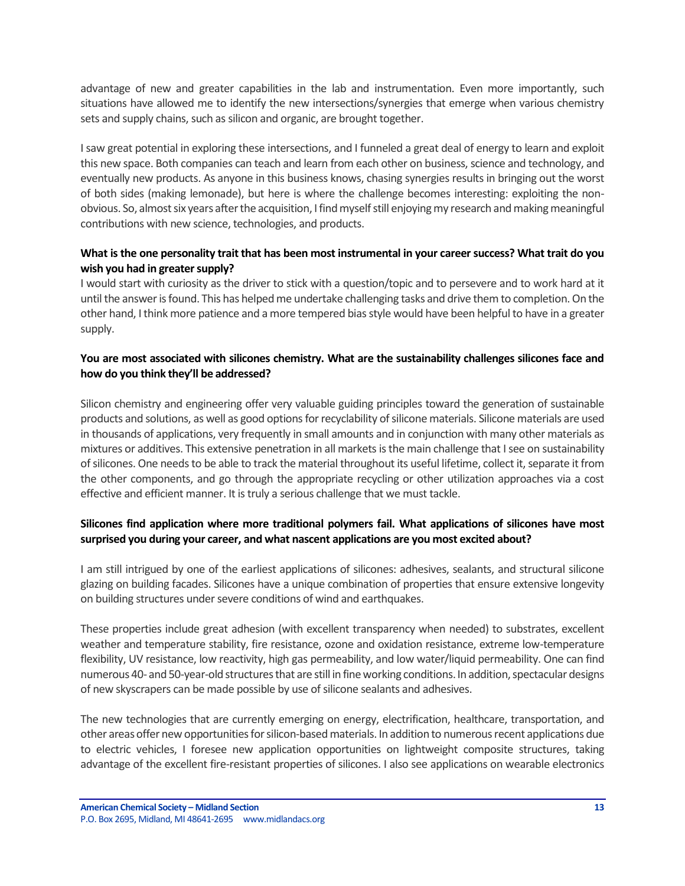advantage of new and greater capabilities in the lab and instrumentation. Even more importantly, such situations have allowed me to identify the new intersections/synergies that emerge when various chemistry sets and supply chains, such as silicon and organic, are brought together.

I saw great potential in exploring these intersections, and I funneled a great deal of energy to learn and exploit this new space. Both companies can teach and learn from each other on business, science and technology, and eventually new products. As anyone in this business knows, chasing synergies results in bringing out the worst of both sides (making lemonade), but here is where the challenge becomes interesting: exploiting the nonobvious. So, almost six years after the acquisition, I find myself still enjoying my research and making meaningful contributions with new science, technologies, and products.

### **What is the one personality trait that has been most instrumental in your career success? What trait do you wish you had in greater supply?**

I would start with curiosity as the driver to stick with a question/topic and to persevere and to work hard at it until the answer is found. This has helped me undertake challenging tasks and drive them to completion. On the other hand, I think more patience and a more tempered bias style would have been helpful to have in a greater supply.

### **You are most associated with silicones chemistry. What are the sustainability challenges silicones face and how do you think they'll be addressed?**

Silicon chemistry and engineering offer very valuable guiding principles toward the generation of sustainable products and solutions, as well as good options for recyclability of silicone materials. Silicone materials are used in thousands of applications, very frequently in small amounts and in conjunction with many other materials as mixtures or additives. This extensive penetration in all markets is the main challenge that I see on sustainability of silicones. One needs to be able to track the material throughout its useful lifetime, collect it, separate it from the other components, and go through the appropriate recycling or other utilization approaches via a cost effective and efficient manner. It is truly a serious challenge that we must tackle.

## **Silicones find application where more traditional polymers fail. What applications of silicones have most surprised you during your career, and what nascent applications are you most excited about?**

I am still intrigued by one of the earliest applications of silicones: adhesives, sealants, and structural silicone glazing on building facades. Silicones have a unique combination of properties that ensure extensive longevity on building structures under severe conditions of wind and earthquakes.

These properties include great adhesion (with excellent transparency when needed) to substrates, excellent weather and temperature stability, fire resistance, ozone and oxidation resistance, extreme low-temperature flexibility, UV resistance, low reactivity, high gas permeability, and low water/liquid permeability. One can find numerous 40- and 50-year-old structures that are still in fine working conditions. In addition, spectacular designs of new skyscrapers can be made possible by use of silicone sealants and adhesives.

The new technologies that are currently emerging on energy, electrification, healthcare, transportation, and other areas offer new opportunities for silicon-based materials. In addition to numerous recent applications due to electric vehicles, I foresee new application opportunities on lightweight composite structures, taking advantage of the excellent fire-resistant properties of silicones. I also see applications on wearable electronics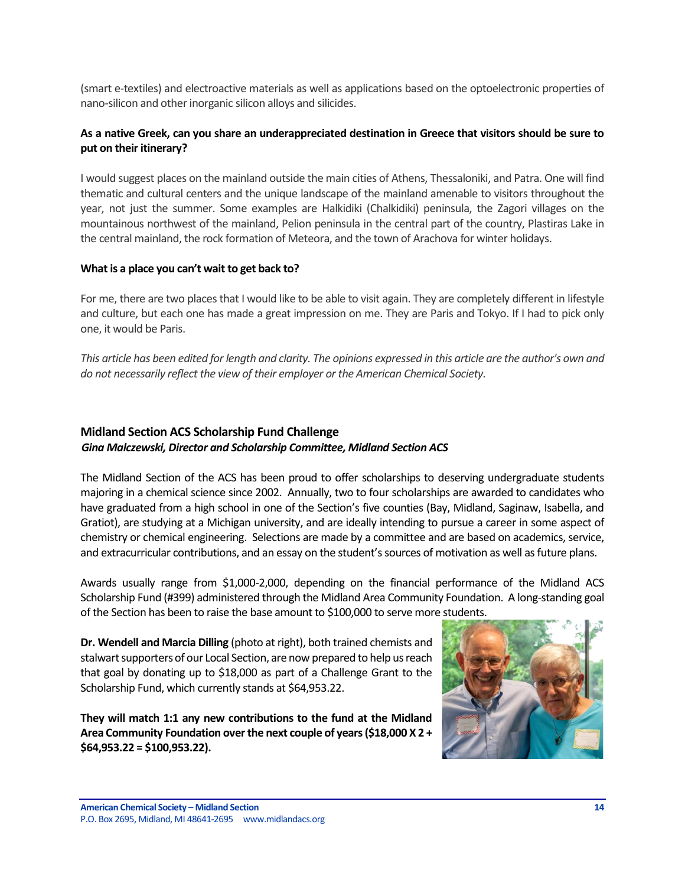(smart e-textiles) and electroactive materials as well as applications based on the optoelectronic properties of nano-silicon and other inorganic silicon alloys and silicides.

### **As a native Greek, can you share an underappreciated destination in Greece that visitors should be sure to put on their itinerary?**

I would suggest places on the mainland outside the main cities of Athens, Thessaloniki, and Patra. One will find thematic and cultural centers and the unique landscape of the mainland amenable to visitors throughout the year, not just the summer. Some examples are Halkidiki (Chalkidiki) peninsula, the Zagori villages on the mountainous northwest of the mainland, Pelion peninsula in the central part of the country, Plastiras Lake in the central mainland, the rock formation of Meteora, and the town of Arachova for winter holidays.

#### **What is a place you can't wait to get back to?**

For me, there are two places that I would like to be able to visit again. They are completely different in lifestyle and culture, but each one has made a great impression on me. They are Paris and Tokyo. If I had to pick only one, it would be Paris.

*This article has been edited for length and clarity. The opinions expressed in this article are the author's own and do not necessarily reflect the view of their employer or the American Chemical Society.*

# <span id="page-13-0"></span>**Midland Section ACS Scholarship Fund Challenge** *Gina Malczewski, Director and Scholarship Committee, Midland Section ACS*

The Midland Section of the ACS has been proud to offer scholarships to deserving undergraduate students majoring in a chemical science since 2002. Annually, two to four scholarships are awarded to candidates who have graduated from a high school in one of the Section's five counties (Bay, Midland, Saginaw, Isabella, and Gratiot), are studying at a Michigan university, and are ideally intending to pursue a career in some aspect of chemistry or chemical engineering. Selections are made by a committee and are based on academics, service, and extracurricular contributions, and an essay on the student's sources of motivation as well as future plans.

Awards usually range from \$1,000-2,000, depending on the financial performance of the Midland ACS Scholarship Fund (#399) administered through the Midland Area Community Foundation. A long-standing goal of the Section has been to raise the base amount to \$100,000 to serve more students.

**Dr. Wendell and Marcia Dilling** (photo at right), both trained chemists and stalwart supporters of our Local Section, are now prepared to help us reach that goal by donating up to \$18,000 as part of a Challenge Grant to the Scholarship Fund, which currently stands at \$64,953.22.

**They will match 1:1 any new contributions to the fund at the Midland Area Community Foundation over the next couple of years (\$18,000 X 2 + \$64,953.22 = \$100,953.22).**

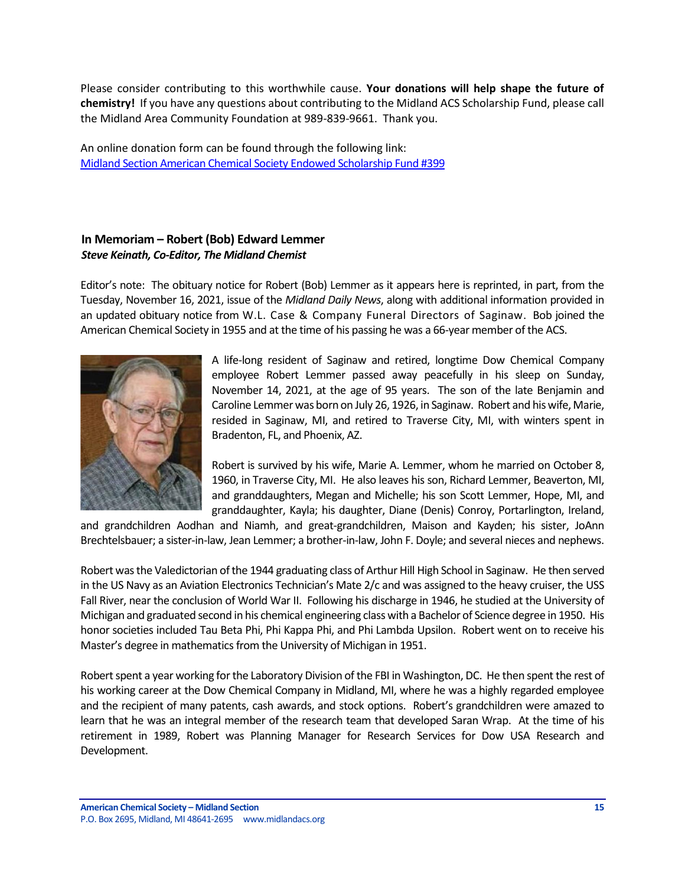Please consider contributing to this worthwhile cause. **Your donations will help shape the future of chemistry!** If you have any questions about contributing to the Midland ACS Scholarship Fund, please call the Midland Area Community Foundation at 989-839-9661. Thank you.

An online donation form can be found through the following link: [Midland Section American Chemical Society Endowed Scholarship Fund #399](https://www.midlandfoundation.org/fund/midland-section-american-chemical-society-endowed-scholarship-fund-399/)

# <span id="page-14-0"></span>**In Memoriam – Robert (Bob) Edward Lemmer** *Steve Keinath, Co-Editor, The Midland Chemist*

Editor's note: The obituary notice for Robert (Bob) Lemmer as it appears here is reprinted, in part, from the Tuesday, November 16, 2021, issue of the *Midland Daily News*, along with additional information provided in an updated obituary notice from W.L. Case & Company Funeral Directors of Saginaw. Bob joined the American Chemical Society in 1955 and at the time of his passing he was a 66-year member of the ACS.



A life-long resident of Saginaw and retired, longtime Dow Chemical Company employee Robert Lemmer passed away peacefully in his sleep on Sunday, November 14, 2021, at the age of 95 years. The son of the late Benjamin and Caroline Lemmer was born on July 26, 1926, in Saginaw. Robert and his wife, Marie, resided in Saginaw, MI, and retired to Traverse City, MI, with winters spent in Bradenton, FL, and Phoenix, AZ.

Robert is survived by his wife, Marie A. Lemmer, whom he married on October 8, 1960, in Traverse City, MI. He also leaves his son, Richard Lemmer, Beaverton, MI, and granddaughters, Megan and Michelle; his son Scott Lemmer, Hope, MI, and granddaughter, Kayla; his daughter, Diane (Denis) Conroy, Portarlington, Ireland,

and grandchildren Aodhan and Niamh, and great-grandchildren, Maison and Kayden; his sister, JoAnn Brechtelsbauer; a sister-in-law, Jean Lemmer; a brother-in-law, John F. Doyle; and several nieces and nephews.

Robert was the Valedictorian of the 1944 graduating class of Arthur Hill High School in Saginaw. He then served in the US Navy as an Aviation Electronics Technician's Mate 2/c and was assigned to the heavy cruiser, the USS Fall River, near the conclusion of World War II. Following his discharge in 1946, he studied at the University of Michigan and graduated second in his chemical engineering class with a Bachelor of Science degree in 1950. His honor societies included Tau Beta Phi, Phi Kappa Phi, and Phi Lambda Upsilon. Robert went on to receive his Master's degree in mathematics from the University of Michigan in 1951.

Robert spent a year working for the Laboratory Division of the FBI in Washington, DC. He then spent the rest of his working career at the Dow Chemical Company in Midland, MI, where he was a highly regarded employee and the recipient of many patents, cash awards, and stock options. Robert's grandchildren were amazed to learn that he was an integral member of the research team that developed Saran Wrap. At the time of his retirement in 1989, Robert was Planning Manager for Research Services for Dow USA Research and Development.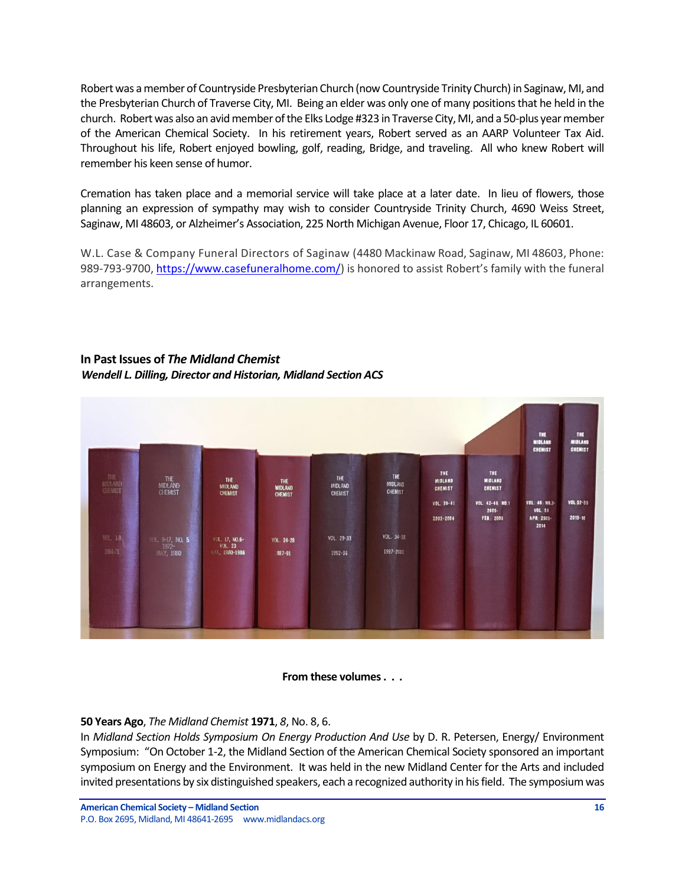Robert was a member of Countryside Presbyterian Church (now Countryside Trinity Church) in Saginaw, MI, and the Presbyterian Church of Traverse City, MI. Being an elder was only one of many positions that he held in the church. Robert was also an avid member of the Elks Lodge #323 in Traverse City, MI, and a 50-plus year member of the American Chemical Society. In his retirement years, Robert served as an AARP Volunteer Tax Aid. Throughout his life, Robert enjoyed bowling, golf, reading, Bridge, and traveling. All who knew Robert will remember his keen sense of humor.

Cremation has taken place and a memorial service will take place at a later date. In lieu of flowers, those planning an expression of sympathy may wish to consider Countryside Trinity Church, 4690 Weiss Street, Saginaw, MI 48603, or Alzheimer's Association, 225 North Michigan Avenue, Floor 17, Chicago, IL 60601.

W.L. Case & Company Funeral Directors of Saginaw (4480 Mackinaw Road, Saginaw, MI 48603, Phone: 989-793-9700[, https://www.casefuneralhome.com/](https://www.casefuneralhome.com/)) is honored to assist Robert's family with the funeral arrangements.

## <span id="page-15-0"></span>**In Past Issues of** *The Midland Chemist Wendell L. Dilling, Director and Historian, Midland Section ACS*



#### **From these volumes . . .**

## **50 Years Ago**, *The Midland Chemist* **1971**, *8*, No. 8, 6.

In *Midland Section Holds Symposium On Energy Production And Use* by D. R. Petersen, Energy/ Environment Symposium: "On October 1-2, the Midland Section of the American Chemical Society sponsored an important symposium on Energy and the Environment. It was held in the new Midland Center for the Arts and included invited presentations by six distinguished speakers, each a recognized authority in his field. The symposium was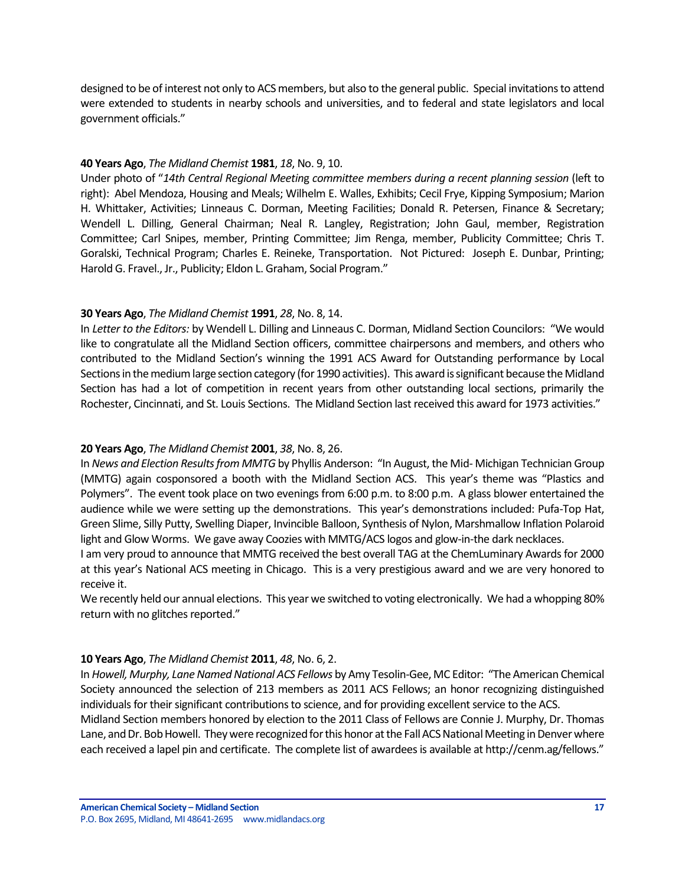designed to be of interest not only to ACS members, but also to the general public. Special invitations to attend were extended to students in nearby schools and universities, and to federal and state legislators and local government officials."

#### **40 Years Ago**, *The Midland Chemist* **1981**, *18*, No. 9, 10.

Under photo of "*14th Central Regional Meetin*g *committee members during a recent planning session* (left to right): Abel Mendoza, Housing and Meals; Wilhelm E. Walles, Exhibits; Cecil Frye, Kipping Symposium; Marion H. Whittaker, Activities; Linneaus C. Dorman, Meeting Facilities; Donald R. Petersen, Finance & Secretary; Wendell L. Dilling, General Chairman; Neal R. Langley, Registration; John Gaul, member, Registration Committee; Carl Snipes, member, Printing Committee; Jim Renga, member, Publicity Committee; Chris T. Goralski, Technical Program; Charles E. Reineke, Transportation. Not Pictured: Joseph E. Dunbar, Printing; Harold G. Fravel., Jr., Publicity; Eldon L. Graham, Social Program."

#### **30 Years Ago**, *The Midland Chemist* **1991**, *28*, No. 8, 14.

In *Letter to the Editors:* by Wendell L. Dilling and Linneaus C. Dorman, Midland Section Councilors: "We would like to congratulate all the Midland Section officers, committee chairpersons and members, and others who contributed to the Midland Section's winning the 1991 ACS Award for Outstanding performance by Local Sections in the medium large section category (for 1990 activities). This award is significant because the Midland Section has had a lot of competition in recent years from other outstanding local sections, primarily the Rochester, Cincinnati, and St. Louis Sections. The Midland Section last received this award for 1973 activities."

#### **20 Years Ago**, *The Midland Chemist* **2001**, *38*, No. 8, 26.

In *News and Election Results from MMTG* by Phyllis Anderson: "In August, the Mid- Michigan Technician Group (MMTG) again cosponsored a booth with the Midland Section ACS. This year's theme was "Plastics and Polymers". The event took place on two evenings from 6:00 p.m. to 8:00 p.m. A glass blower entertained the audience while we were setting up the demonstrations. This year's demonstrations included: Pufa-Top Hat, Green Slime, Silly Putty, Swelling Diaper, Invincible Balloon, Synthesis of Nylon, Marshmallow Inflation Polaroid light and Glow Worms. We gave away Coozies with MMTG/ACS logos and glow-in-the dark necklaces.

I am very proud to announce that MMTG received the best overall TAG at the ChemLuminary Awards for 2000 at this year's National ACS meeting in Chicago. This is a very prestigious award and we are very honored to receive it.

We recently held our annual elections. This year we switched to voting electronically. We had a whopping 80% return with no glitches reported."

#### **10 Years Ago**, *The Midland Chemist* **2011**, *48*, No. 6, 2.

In *Howell, Murphy, Lane Named National ACS Fellows* by Amy Tesolin-Gee, MC Editor: "The American Chemical Society announced the selection of 213 members as 2011 ACS Fellows; an honor recognizing distinguished individuals for their significant contributions to science, and for providing excellent service to the ACS.

Midland Section members honored by election to the 2011 Class of Fellows are Connie J. Murphy, Dr. Thomas Lane, and Dr. Bob Howell. They were recognized for this honor at the Fall ACS National Meeting in Denver where each received a lapel pin and certificate. The complete list of awardees is available at http://cenm.ag/fellows."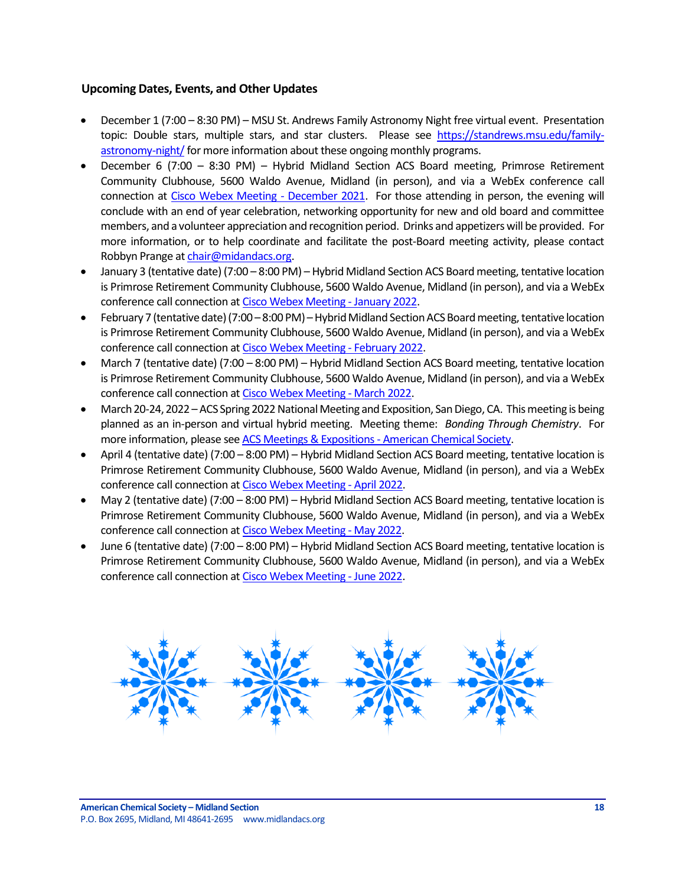### <span id="page-17-0"></span>**Upcoming Dates, Events, and Other Updates**

- December 1 (7:00 8:30 PM) MSU St. Andrews Family Astronomy Night free virtual event. Presentation topic: Double stars, multiple stars, and star clusters. Please see [https://standrews.msu.edu/family](https://standrews.msu.edu/family-astronomy-night/)[astronomy-night/](https://standrews.msu.edu/family-astronomy-night/)for more information about these ongoing monthly programs.
- December 6 (7:00 8:30 PM) Hybrid Midland Section ACS Board meeting, Primrose Retirement Community Clubhouse, 5600 Waldo Avenue, Midland (in person), and via a WebEx conference call connection at [Cisco Webex Meeting -](https://laurenmccullough.my.webex.com/webappng/sites/laurenmccullough.my/meeting/download/1fe34d004133d24e0415cae3b860f29e) December 2021. For those attending in person, the evening will conclude with an end of year celebration, networking opportunity for new and old board and committee members, and a volunteer appreciation and recognition period. Drinks and appetizers will be provided. For more information, or to help coordinate and facilitate the post-Board meeting activity, please contact Robbyn Prange a[t chair@midandacs.org.](mailto:chair@midandacs.org)
- January 3 (tentative date) (7:00 8:00 PM) Hybrid Midland Section ACS Board meeting, tentative location is Primrose Retirement Community Clubhouse, 5600 Waldo Avenue, Midland (in person), and via a WebEx conference call connection a[t Cisco Webex Meeting -](https://laurenmccullough.my.webex.com/webappng/sites/laurenmccullough.my/meeting/download/1fe34d004133d24e0415cae3b860f29e) January 2022.
- February 7 (tentative date) (7:00 8:00 PM) Hybrid Midland Section ACS Board meeting, tentative location is Primrose Retirement Community Clubhouse, 5600 Waldo Avenue, Midland (in person), and via a WebEx conference call connection a[t Cisco Webex Meeting -](https://laurenmccullough.my.webex.com/webappng/sites/laurenmccullough.my/meeting/download/1fe34d004133d24e0415cae3b860f29e) February 2022.
- March 7 (tentative date) (7:00 8:00 PM) Hybrid Midland Section ACS Board meeting, tentative location is Primrose Retirement Community Clubhouse, 5600 Waldo Avenue, Midland (in person), and via a WebEx conference call connection a[t Cisco Webex Meeting -](https://laurenmccullough.my.webex.com/webappng/sites/laurenmccullough.my/meeting/download/1fe34d004133d24e0415cae3b860f29e) March 2022.
- March 20-24, 2022 –ACS Spring 2022 National Meeting and Exposition, San Diego, CA. This meeting is being planned as an in-person and virtual hybrid meeting. Meeting theme: *Bonding Through Chemistry*. For more information, please see [ACS Meetings & Expositions -](https://www.acs.org/content/acs/en/meetings/acs-meetings.html) American Chemical Society.
- April 4 (tentative date) (7:00 8:00 PM) Hybrid Midland Section ACS Board meeting, tentative location is Primrose Retirement Community Clubhouse, 5600 Waldo Avenue, Midland (in person), and via a WebEx conference call connection a[t Cisco Webex Meeting -](https://laurenmccullough.my.webex.com/webappng/sites/laurenmccullough.my/meeting/download/1fe34d004133d24e0415cae3b860f29e) April 2022.
- May 2 (tentative date) (7:00 8:00 PM) Hybrid Midland Section ACS Board meeting, tentative location is Primrose Retirement Community Clubhouse, 5600 Waldo Avenue, Midland (in person), and via a WebEx conference call connection a[t Cisco Webex Meeting -](https://laurenmccullough.my.webex.com/webappng/sites/laurenmccullough.my/meeting/download/1fe34d004133d24e0415cae3b860f29e) May 2022.
- June 6 (tentative date) (7:00 8:00 PM) Hybrid Midland Section ACS Board meeting, tentative location is Primrose Retirement Community Clubhouse, 5600 Waldo Avenue, Midland (in person), and via a WebEx conference call connection a[t Cisco Webex Meeting -](https://laurenmccullough.my.webex.com/webappng/sites/laurenmccullough.my/meeting/download/1fe34d004133d24e0415cae3b860f29e) June 2022.